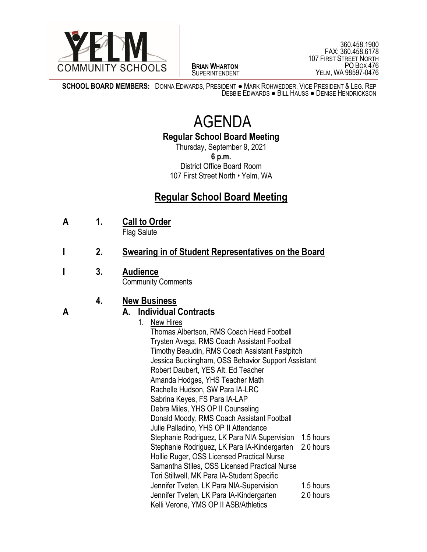

 $\overline{a}$ **BRIAN WHARTON** SUPERINTENDENT

360.458.1900 FAX: 360.458.6178 107 FIRST STREET NORTH PO BOX 476 YELM, WA 98597-0476

j **SCHOOL BOARD MEMBERS:** DONNA EDWARDS, PRESIDENT ● MARK ROHWEDDER, VICE PRESIDENT & LEG. REP DEBBIE EDWARDS ● BILL HAUSS ● DENISE HENDRICKSON

## AGENDA

**Regular School Board Meeting**

Thursday, September 9, 2021 **6 p.m.** District Office Board Room 107 First Street North • Yelm, WA

## **Regular School Board Meeting**

**A 1. Call to Order**

Flag Salute

- **I 2. Swearing in of Student Representatives on the Board**
- **I 3. Audience** Community Comments

## **4. New Business**

## **A A. Individual Contracts**

- 1. New Hires
	- Thomas Albertson, RMS Coach Head Football Trysten Avega, RMS Coach Assistant Football Timothy Beaudin, RMS Coach Assistant Fastpitch Jessica Buckingham, OSS Behavior Support Assistant Robert Daubert, YES Alt. Ed Teacher Amanda Hodges, YHS Teacher Math Rachelle Hudson, SW Para IA-LRC Sabrina Keyes, FS Para IA-LAP Debra Miles, YHS OP II Counseling Donald Moody, RMS Coach Assistant Football Julie Palladino, YHS OP II Attendance Stephanie Rodriguez, LK Para NIA Supervision 1.5 hours Stephanie Rodriguez, LK Para IA-Kindergarten 2.0 hours Hollie Ruger, OSS Licensed Practical Nurse Samantha Stiles, OSS Licensed Practical Nurse Tori Stillwell, MK Para IA-Student Specific Jennifer Tveten, LK Para NIA-Supervision 1.5 hours Jennifer Tveten, LK Para IA-Kindergarten 2.0 hours Kelli Verone, YMS OP II ASB/Athletics